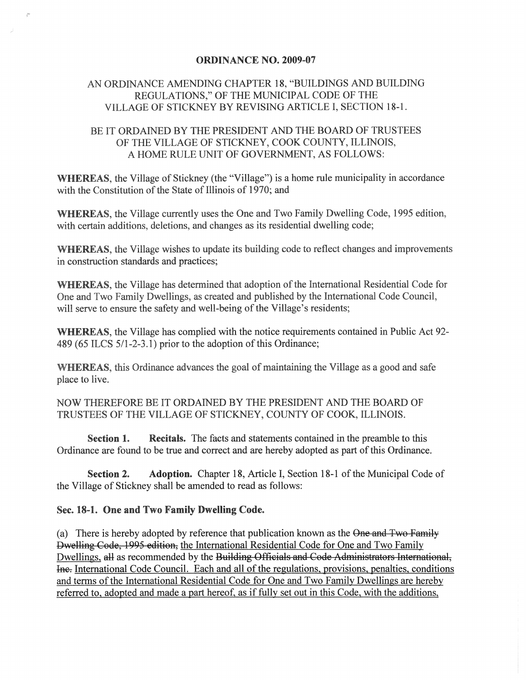## ORDINANCE NO. 2009-07

## AN ORDINANCE AMENDING CHAPTER 18, "BUILDINGS AND BUILDING REGULATIONS," OF THE MUNICIPAL CODE OF THE VILLAGE OF STICKNEY BY REVISING ARTICLE I, SECTION 18-1.

## BE IT ORDAINED BY THE PRESIDENT AND THE BOARD OF TRUSTEES OF THE VILLAGE OF STICKNEY, COOK COUNTY, ILLINOIS, A HOME RULE UNIT OF GOVERNMENT, AS FOLLOWS:

WHEREAS, the Village of Stickney (the "Village") is a home rule municipality in accordance with the Constitution of the State of Illinois of 1970; and

WHEREAS, the Village currently uses the One and Two Family Dwelling Code, 1995 edition, with certain additions, deletions, and changes as its residential dwelling code;

WHEREAS, the Village wishes to update its building code to reflect changes and improvements in construction standards and practices;

WHEREAS, the Village has determined that adoption of the International Residential Code for One and Two Family Dwellings, as created and published by the International Code Council, will serve to ensure the safety and well-being of the Village's residents;

WHEREAS, the Village has complied with the notice requirements contained in Public Act 92- 489 (65 ILCS 511-2-3.1) prior to the adoption of this Ordinance;

WHEREAS, this Ordinance advances the goal of maintaining the Village as a good and safe place to live.

NOW THEREFORE BE IT ORDAINED BY THE PRESIDENT AND THE BOARD OF TRUSTEES OF THE VILLAGE OF STICKNEY, COUNTY OF COOK, ILLINOIS.

Section 1. Recitals. The facts and statements contained in the preamble to this Ordinance are found to be true and correct and are hereby adopted as part of this Ordinance.

Section 2. Adoption. Chapter 18, Article I, Section 18-1 of the Municipal Code of the Village of Stickney shall be amended to read as follows:

## Sec. 18-1. One and Two Family Dwelling Code.

 $\mathcal{P}^{\prime}$ 

(a) There is hereby adopted by reference that publication known as the One and Two Family Dwelling Code, 1995 edition, the International Residential Code for One and Two Family Dwellings, all as recommended by the Building Officials and Code Administrators International, Ine. International Code Council. Each and all of the regulations, provisions, penalties, conditions and terms of the International Residential Code for One and Two Family Dwellings are hereby referred to, adopted and made a part hereof, as if fully set out in this Code, with the additions,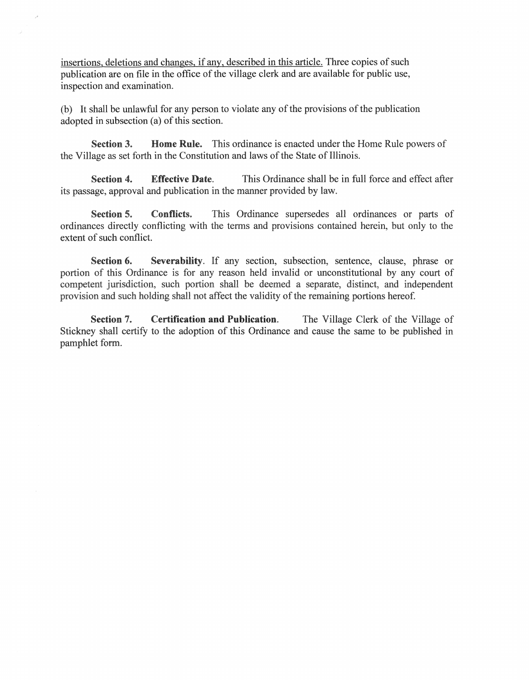insertions, deletions and changes, if any, described in this article. Three copies of such publication are on file in the office of the village clerk and are available for public use, inspection and examination.

(b) It shall be unlawful for any person to violate any of the provisions of the publication adopted in subsection (a) of this section.

Section 3. Home Rule. This ordinance is enacted under the Home Rule powers of the Village as set forth in the Constitution and laws of the State of Illinois.

Section 4. Effective Date. This Ordinance shall be in full force and effect after its passage, approval and publication in the manner provided by law.

Section 5. Conflicts. This Ordinance supersedes all ordinances or parts of ordinances directly conflicting with the terms and provisions contained herein, but only to the extent of such conflict.

Section 6. Severability. If any section, subsection, sentence, clause, phrase or portion of this Ordinance is for any reason held invalid or unconstitutional by any court of competent jurisdiction, such portion shall be deemed a separate, distinct, and independent provision and such holding shall not affect the validity of the remaining portions hereof.

Section 7. Certification and Publication. The Village Clerk of the Village of Stickney shall certify to the adoption of this Ordinance and cause the same to be published in pamphlet form.